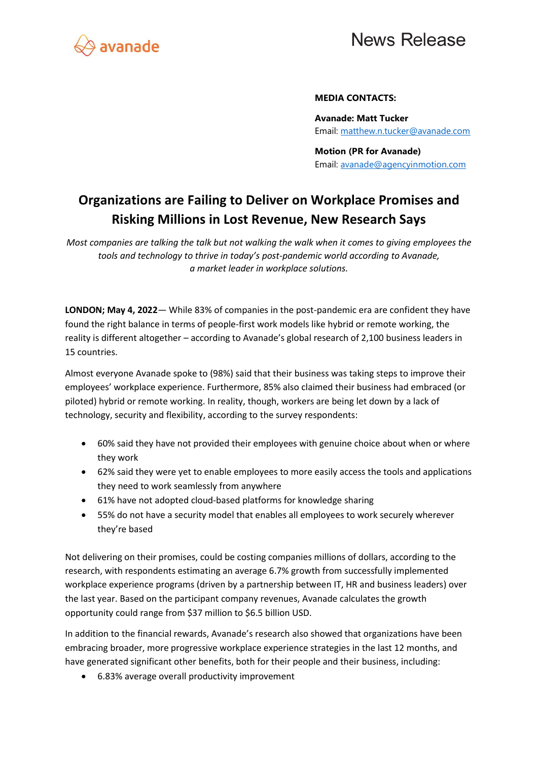

## **News Release**

#### **MEDIA CONTACTS:**

**Avanade: Matt Tucker** Email: [matthew.n.tucker@avanade.com](mailto:matthew.n.tucker@avanade.com)

**Motion (PR for Avanade)** Email: [avanade@agencyinmotion.com](mailto:avanade@agencyinmotion.com)

### **Organizations are Failing to Deliver on Workplace Promises and Risking Millions in Lost Revenue, New Research Says**

*Most companies are talking the talk but not walking the walk when it comes to giving employees the tools and technology to thrive in today's post-pandemic world according to Avanade, a market leader in workplace solutions.*

**LONDON; May 4, 2022**— While 83% of companies in the post-pandemic era are confident they have found the right balance in terms of people-first work models like hybrid or remote working, the reality is different altogether – according to Avanade's global research of 2,100 business leaders in 15 countries.

Almost everyone Avanade spoke to (98%) said that their business was taking steps to improve their employees' workplace experience. Furthermore, 85% also claimed their business had embraced (or piloted) hybrid or remote working. In reality, though, workers are being let down by a lack of technology, security and flexibility, according to the survey respondents:

- 60% said they have not provided their employees with genuine choice about when or where they work
- 62% said they were yet to enable employees to more easily access the tools and applications they need to work seamlessly from anywhere
- 61% have not adopted cloud-based platforms for knowledge sharing
- 55% do not have a security model that enables all employees to work securely wherever they're based

Not delivering on their promises, could be costing companies millions of dollars, according to the research, with respondents estimating an average 6.7% growth from successfully implemented workplace experience programs (driven by a partnership between IT, HR and business leaders) over the last year. Based on the participant company revenues, Avanade calculates the growth opportunity could range from \$37 million to \$6.5 billion USD.

In addition to the financial rewards, Avanade's research also showed that organizations have been embracing broader, more progressive workplace experience strategies in the last 12 months, and have generated significant other benefits, both for their people and their business, including:

• 6.83% average overall productivity improvement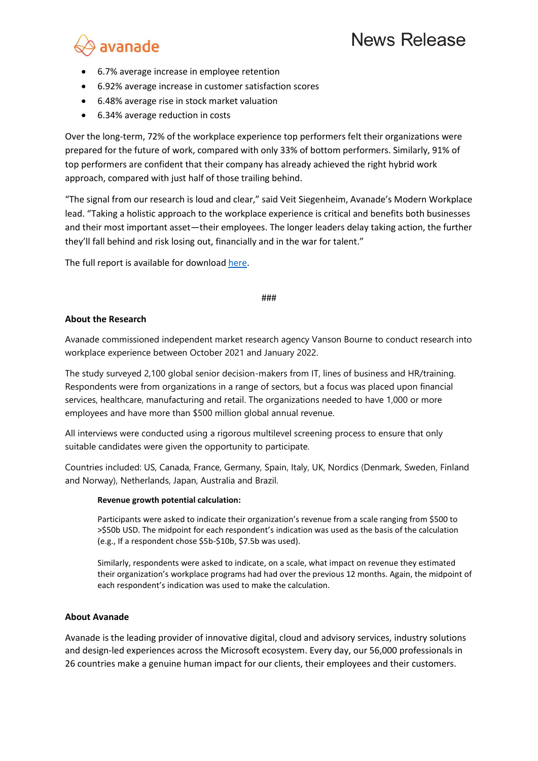

- 6.7% average increase in employee retention
- 6.92% average increase in customer satisfaction scores
- 6.48% average rise in stock market valuation
- 6.34% average reduction in costs

Over the long-term, 72% of the workplace experience top performers felt their organizations were prepared for the future of work, compared with only 33% of bottom performers. Similarly, 91% of top performers are confident that their company has already achieved the right hybrid work approach, compared with just half of those trailing behind.

"The signal from our research is loud and clear," said Veit Siegenheim, Avanade's Modern Workplace lead. "Taking a holistic approach to the workplace experience is critical and benefits both businesses and their most important asset—their employees. The longer leaders delay taking action, the further they'll fall behind and risk losing out, financially and in the war for talent."

The full report is available for downloa[d here.](http://www.avanade.com/people-first-wx)

#### ###

#### **About the Research**

Avanade commissioned independent market research agency Vanson Bourne to conduct research into workplace experience between October 2021 and January 2022.

The study surveyed 2,100 global senior decision-makers from IT, lines of business and HR/training. Respondents were from organizations in a range of sectors, but a focus was placed upon financial services, healthcare, manufacturing and retail. The organizations needed to have 1,000 or more employees and have more than \$500 million global annual revenue.

All interviews were conducted using a rigorous multilevel screening process to ensure that only suitable candidates were given the opportunity to participate.

Countries included: US, Canada, France, Germany, Spain, Italy, UK, Nordics (Denmark, Sweden, Finland and Norway), Netherlands, Japan, Australia and Brazil.

#### **Revenue growth potential calculation:**

Participants were asked to indicate their organization's revenue from a scale ranging from \$500 to >\$50b USD. The midpoint for each respondent's indication was used as the basis of the calculation (e.g., If a respondent chose \$5b-\$10b, \$7.5b was used).

Similarly, respondents were asked to indicate, on a scale, what impact on revenue they estimated their organization's workplace programs had had over the previous 12 months. Again, the midpoint of each respondent's indication was used to make the calculation.

#### **About Avanade**

Avanade is the leading provider of innovative digital, cloud and advisory services, industry solutions and design-led experiences across the Microsoft ecosystem. Every day, our 56,000 professionals in 26 countries make a genuine human impact for our clients, their employees and their customers.